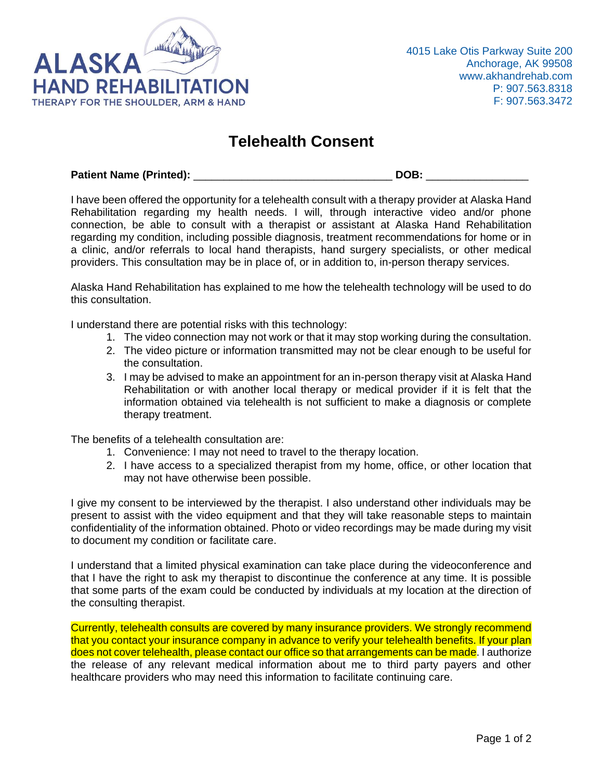

## **Telehealth Consent**

**Patient Name (Printed):** \_\_\_\_\_\_\_\_\_\_\_\_\_\_\_\_\_\_\_\_\_\_\_\_\_\_\_\_\_\_\_\_\_ **DOB:** \_\_\_\_\_\_\_\_\_\_\_\_\_\_\_\_\_

I have been offered the opportunity for a telehealth consult with a therapy provider at Alaska Hand Rehabilitation regarding my health needs. I will, through interactive video and/or phone connection, be able to consult with a therapist or assistant at Alaska Hand Rehabilitation regarding my condition, including possible diagnosis, treatment recommendations for home or in a clinic, and/or referrals to local hand therapists, hand surgery specialists, or other medical providers. This consultation may be in place of, or in addition to, in-person therapy services.

Alaska Hand Rehabilitation has explained to me how the telehealth technology will be used to do this consultation.

I understand there are potential risks with this technology:

- 1. The video connection may not work or that it may stop working during the consultation.
- 2. The video picture or information transmitted may not be clear enough to be useful for the consultation.
- 3. I may be advised to make an appointment for an in-person therapy visit at Alaska Hand Rehabilitation or with another local therapy or medical provider if it is felt that the information obtained via telehealth is not sufficient to make a diagnosis or complete therapy treatment.

The benefits of a telehealth consultation are:

- 1. Convenience: I may not need to travel to the therapy location.
- 2. I have access to a specialized therapist from my home, office, or other location that may not have otherwise been possible.

I give my consent to be interviewed by the therapist. I also understand other individuals may be present to assist with the video equipment and that they will take reasonable steps to maintain confidentiality of the information obtained. Photo or video recordings may be made during my visit to document my condition or facilitate care.

I understand that a limited physical examination can take place during the videoconference and that I have the right to ask my therapist to discontinue the conference at any time. It is possible that some parts of the exam could be conducted by individuals at my location at the direction of the consulting therapist.

Currently, telehealth consults are covered by many insurance providers. We strongly recommend that you contact your insurance company in advance to verify your telehealth benefits. If your plan does not cover telehealth, please contact our office so that arrangements can be made. I authorize the release of any relevant medical information about me to third party payers and other healthcare providers who may need this information to facilitate continuing care.